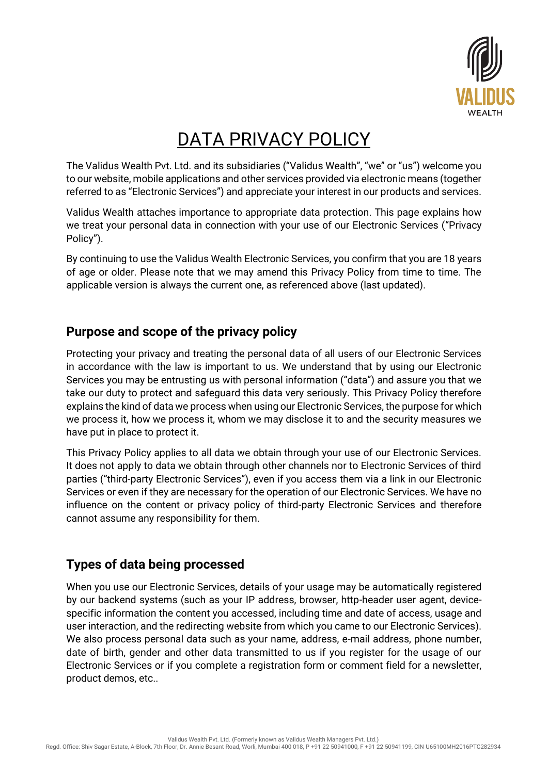

# DATA PRIVACY POLICY

The Validus Wealth Pvt. Ltd. and its subsidiaries ("Validus Wealth", "we" or "us") welcome you to our website, mobile applications and other services provided via electronic means (together referred to as "Electronic Services") and appreciate your interest in our products and services.

Validus Wealth attaches importance to appropriate data protection. This page explains how we treat your personal data in connection with your use of our Electronic Services ("Privacy Policy").

By continuing to use the Validus Wealth Electronic Services, you confirm that you are 18 years of age or older. Please note that we may amend this Privacy Policy from time to time. The applicable version is always the current one, as referenced above (last updated).

## **Purpose and scope of the privacy policy**

Protecting your privacy and treating the personal data of all users of our Electronic Services in accordance with the law is important to us. We understand that by using our Electronic Services you may be entrusting us with personal information ("data") and assure you that we take our duty to protect and safeguard this data very seriously. This Privacy Policy therefore explains the kind of data we process when using our Electronic Services, the purpose for which we process it, how we process it, whom we may disclose it to and the security measures we have put in place to protect it.

This Privacy Policy applies to all data we obtain through your use of our Electronic Services. It does not apply to data we obtain through other channels nor to Electronic Services of third parties ("third-party Electronic Services"), even if you access them via a link in our Electronic Services or even if they are necessary for the operation of our Electronic Services. We have no influence on the content or privacy policy of third-party Electronic Services and therefore cannot assume any responsibility for them.

# **Types of data being processed**

When you use our Electronic Services, details of your usage may be automatically registered by our backend systems (such as your IP address, browser, http-header user agent, devicespecific information the content you accessed, including time and date of access, usage and user interaction, and the redirecting website from which you came to our Electronic Services). We also process personal data such as your name, address, e-mail address, phone number, date of birth, gender and other data transmitted to us if you register for the usage of our Electronic Services or if you complete a registration form or comment field for a newsletter, product demos, etc..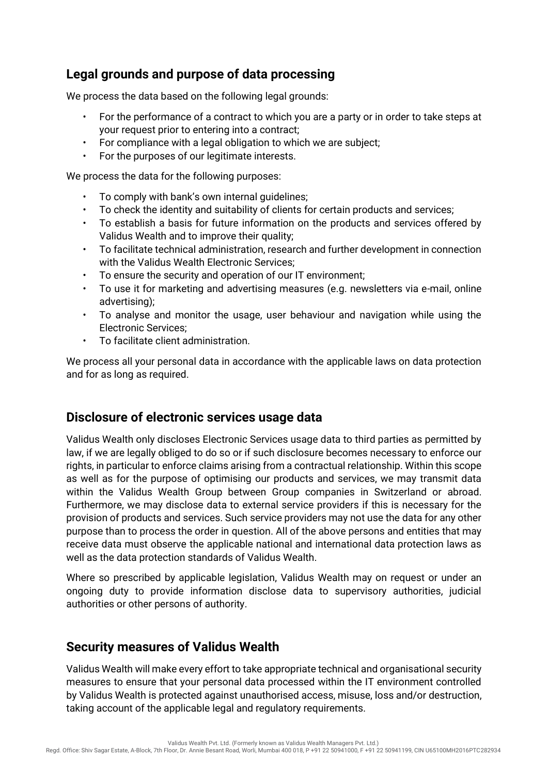## **Legal grounds and purpose of data processing**

We process the data based on the following legal grounds:

- For the performance of a contract to which you are a party or in order to take steps at your request prior to entering into a contract;
- For compliance with a legal obligation to which we are subject;
- For the purposes of our legitimate interests.

We process the data for the following purposes:

- To comply with bank's own internal quidelines;
- To check the identity and suitability of clients for certain products and services;
- To establish a basis for future information on the products and services offered by Validus Wealth and to improve their quality;
- To facilitate technical administration, research and further development in connection with the Validus Wealth Electronic Services;
- To ensure the security and operation of our IT environment;
- To use it for marketing and advertising measures (e.g. newsletters via e-mail, online advertising);
- To analyse and monitor the usage, user behaviour and navigation while using the Electronic Services;
- To facilitate client administration.

We process all your personal data in accordance with the applicable laws on data protection and for as long as required.

#### **Disclosure of electronic services usage data**

Validus Wealth only discloses Electronic Services usage data to third parties as permitted by law, if we are legally obliged to do so or if such disclosure becomes necessary to enforce our rights, in particular to enforce claims arising from a contractual relationship. Within this scope as well as for the purpose of optimising our products and services, we may transmit data within the Validus Wealth Group between Group companies in Switzerland or abroad. Furthermore, we may disclose data to external service providers if this is necessary for the provision of products and services. Such service providers may not use the data for any other purpose than to process the order in question. All of the above persons and entities that may receive data must observe the applicable national and international data protection laws as well as the data protection standards of Validus Wealth.

Where so prescribed by applicable legislation, Validus Wealth may on request or under an ongoing duty to provide information disclose data to supervisory authorities, judicial authorities or other persons of authority.

#### **Security measures of Validus Wealth**

Validus Wealth will make every effort to take appropriate technical and organisational security measures to ensure that your personal data processed within the IT environment controlled by Validus Wealth is protected against unauthorised access, misuse, loss and/or destruction, taking account of the applicable legal and regulatory requirements.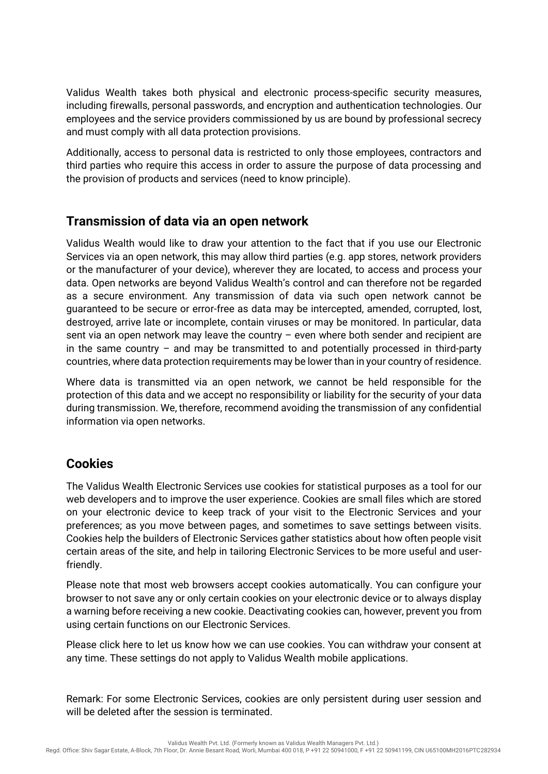Validus Wealth takes both physical and electronic process-specific security measures, including firewalls, personal passwords, and encryption and authentication technologies. Our employees and the service providers commissioned by us are bound by professional secrecy and must comply with all data protection provisions.

Additionally, access to personal data is restricted to only those employees, contractors and third parties who require this access in order to assure the purpose of data processing and the provision of products and services (need to know principle).

#### **Transmission of data via an open network**

Validus Wealth would like to draw your attention to the fact that if you use our Electronic Services via an open network, this may allow third parties (e.g. app stores, network providers or the manufacturer of your device), wherever they are located, to access and process your data. Open networks are beyond Validus Wealth's control and can therefore not be regarded as a secure environment. Any transmission of data via such open network cannot be guaranteed to be secure or error-free as data may be intercepted, amended, corrupted, lost, destroyed, arrive late or incomplete, contain viruses or may be monitored. In particular, data sent via an open network may leave the country – even where both sender and recipient are in the same country  $-$  and may be transmitted to and potentially processed in third-party countries, where data protection requirements may be lower than in your country of residence.

Where data is transmitted via an open network, we cannot be held responsible for the protection of this data and we accept no responsibility or liability for the security of your data during transmission. We, therefore, recommend avoiding the transmission of any confidential information via open networks.

### **Cookies**

The Validus Wealth Electronic Services use cookies for statistical purposes as a tool for our web developers and to improve the user experience. Cookies are small files which are stored on your electronic device to keep track of your visit to the Electronic Services and your preferences; as you move between pages, and sometimes to save settings between visits. Cookies help the builders of Electronic Services gather statistics about how often people visit certain areas of the site, and help in tailoring Electronic Services to be more useful and userfriendly.

Please note that most web browsers accept cookies automatically. You can configure your browser to not save any or only certain cookies on your electronic device or to always display a warning before receiving a new cookie. Deactivating cookies can, however, prevent you from using certain functions on our Electronic Services.

Please click here to let us know how we can use cookies. You can withdraw your consent at any time. These settings do not apply to Validus Wealth mobile applications.

Remark: For some Electronic Services, cookies are only persistent during user session and will be deleted after the session is terminated.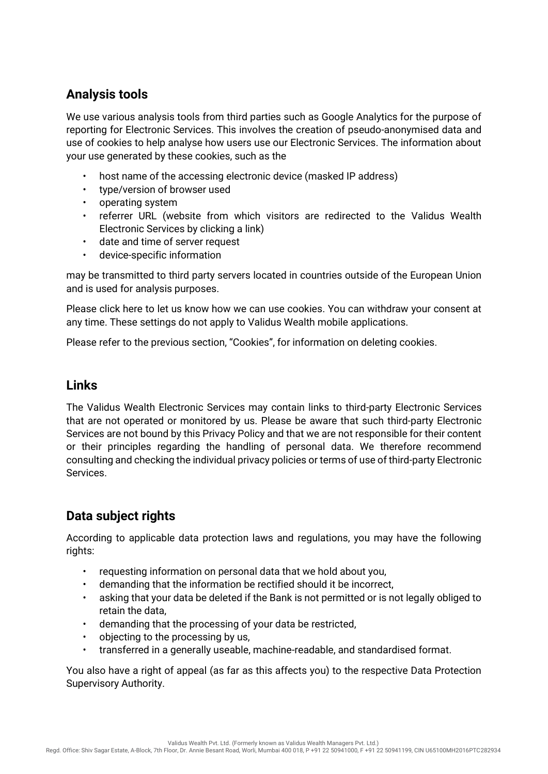# **Analysis tools**

We use various analysis tools from third parties such as Google Analytics for the purpose of reporting for Electronic Services. This involves the creation of pseudo-anonymised data and use of cookies to help analyse how users use our Electronic Services. The information about your use generated by these cookies, such as the

- host name of the accessing electronic device (masked IP address)
- type/version of browser used
- operating system
- referrer URL (website from which visitors are redirected to the Validus Wealth Electronic Services by clicking a link)
- date and time of server request
- device-specific information

may be transmitted to third party servers located in countries outside of the European Union and is used for analysis purposes.

Please click here to let us know how we can use cookies. You can withdraw your consent at any time. These settings do not apply to Validus Wealth mobile applications.

Please refer to the previous section, "Cookies", for information on deleting cookies.

#### **Links**

The Validus Wealth Electronic Services may contain links to third-party Electronic Services that are not operated or monitored by us. Please be aware that such third-party Electronic Services are not bound by this Privacy Policy and that we are not responsible for their content or their principles regarding the handling of personal data. We therefore recommend consulting and checking the individual privacy policies or terms of use of third-party Electronic Services.

# **Data subject rights**

According to applicable data protection laws and regulations, you may have the following rights:

- requesting information on personal data that we hold about you,
- demanding that the information be rectified should it be incorrect,
- asking that your data be deleted if the Bank is not permitted or is not legally obliged to retain the data,
- demanding that the processing of your data be restricted,
- objecting to the processing by us,
- transferred in a generally useable, machine-readable, and standardised format.

You also have a right of appeal (as far as this affects you) to the respective Data Protection Supervisory Authority.